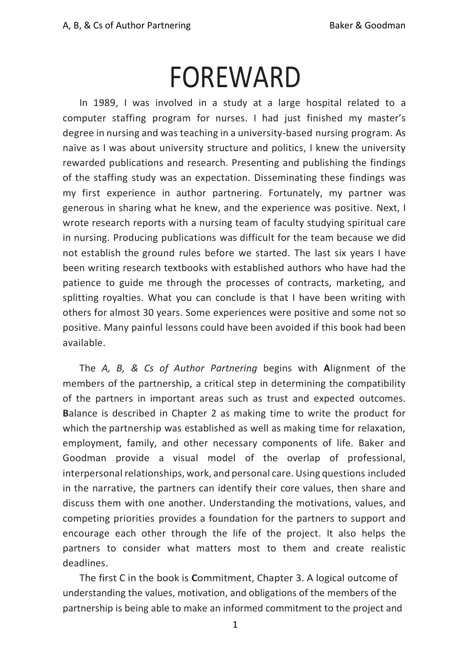## FOREWARD

In 1989, I was involved in a study at a large hospital related to a computer staffing program for nurses. I had just finished my master's degree in nursing and was teaching in a university-based nursing program. As naïve as I was about university structure and politics, I knew the university rewarded publications and research. Presenting and publishing the findings of the staffing study was an expectation. Disseminating these findings was my first experience in author partnering. Fortunately, my partner was generous in sharing what he knew, and the experience was positive. Next, I wrote research reports with a nursing team of faculty studying spiritual care in nursing. Producing publications was difficult for the team because we did not establish the ground rules before we started. The last six years I have been writing research textbooks with established authors who have had the patience to guide me through the processes of contracts, marketing, and splitting royalties. What you can conclude is that I have been writing with others for almost 30 years. Some experiences were positive and some not so positive. Many painful lessons could have been avoided if this book had been available.

The *A, B, & Cs of Author Partnering* begins with **A**lignment of the members of the partnership, a critical step in determining the compatibility of the partners in important areas such as trust and expected outcomes. **B**alance is described in Chapter 2 as making time to write the product for which the partnership was established as well as making time for relaxation, employment, family, and other necessary components of life. Baker and Goodman provide a visual model of the overlap of professional, interpersonal relationships, work, and personal care. Using questions included in the narrative, the partners can identify their core values, then share and discuss them with one another. Understanding the motivations, values, and competing priorities provides a foundation for the partners to support and encourage each other through the life of the project. It also helps the partners to consider what matters most to them and create realistic deadlines.

The first C in the book is **C**ommitment, Chapter 3. A logical outcome of understanding the values, motivation, and obligations of the members of the partnership is being able to make an informed commitment to the project and

1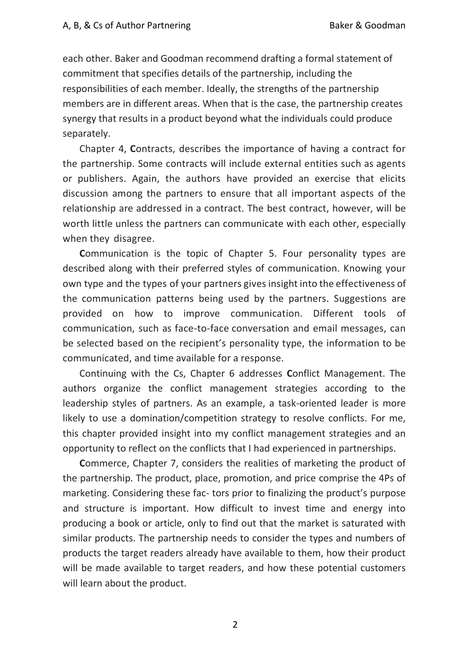each other. Baker and Goodman recommend drafting a formal statement of commitment that specifies details of the partnership, including the responsibilities of each member. Ideally, the strengths of the partnership members are in different areas. When that is the case, the partnership creates synergy that results in a product beyond what the individuals could produce separately.

Chapter 4, **C**ontracts, describes the importance of having a contract for the partnership. Some contracts will include external entities such as agents or publishers. Again, the authors have provided an exercise that elicits discussion among the partners to ensure that all important aspects of the relationship are addressed in a contract. The best contract, however, will be worth little unless the partners can communicate with each other, especially when they disagree.

**C**ommunication is the topic of Chapter 5. Four personality types are described along with their preferred styles of communication. Knowing your own type and the types of your partners gives insight into the effectiveness of the communication patterns being used by the partners. Suggestions are provided on how to improve communication. Different tools of communication, such as face-to-face conversation and email messages, can be selected based on the recipient's personality type, the information to be communicated, and time available for a response.

Continuing with the Cs, Chapter 6 addresses **C**onflict Management. The authors organize the conflict management strategies according to the leadership styles of partners. As an example, a task-oriented leader is more likely to use a domination/competition strategy to resolve conflicts. For me, this chapter provided insight into my conflict management strategies and an opportunity to reflect on the conflicts that I had experienced in partnerships.

**C**ommerce, Chapter 7, considers the realities of marketing the product of the partnership. The product, place, promotion, and price comprise the 4Ps of marketing. Considering these fac- tors prior to finalizing the product's purpose and structure is important. How difficult to invest time and energy into producing a book or article, only to find out that the market is saturated with similar products. The partnership needs to consider the types and numbers of products the target readers already have available to them, how their product will be made available to target readers, and how these potential customers will learn about the product.

2